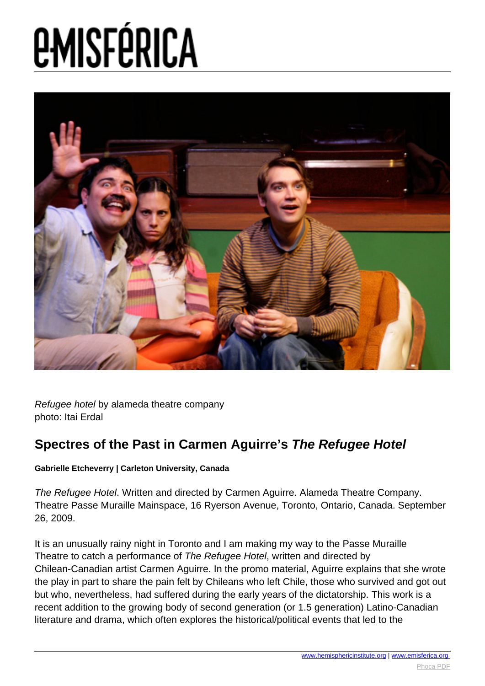

Refugee hotel by alameda theatre company photo: Itai Erdal

### **Spectres of the Past in Carmen Aguirre's The Refugee Hotel**

### **Gabrielle Etcheverry | Carleton University, Canada**

The Refugee Hotel. Written and directed by Carmen Aguirre. Alameda Theatre Company. Theatre Passe Muraille Mainspace, 16 Ryerson Avenue, Toronto, Ontario, Canada. September 26, 2009.

It is an unusually rainy night in Toronto and I am making my way to the Passe Muraille Theatre to catch a performance of The Refugee Hotel, written and directed by Chilean-Canadian artist Carmen Aguirre. In the promo material, Aguirre explains that she wrote the play in part to share the pain felt by Chileans who left Chile, those who survived and got out but who, nevertheless, had suffered during the early years of the dictatorship. This work is a recent addition to the growing body of second generation (or 1.5 generation) Latino-Canadian literature and drama, which often explores the historical/political events that led to the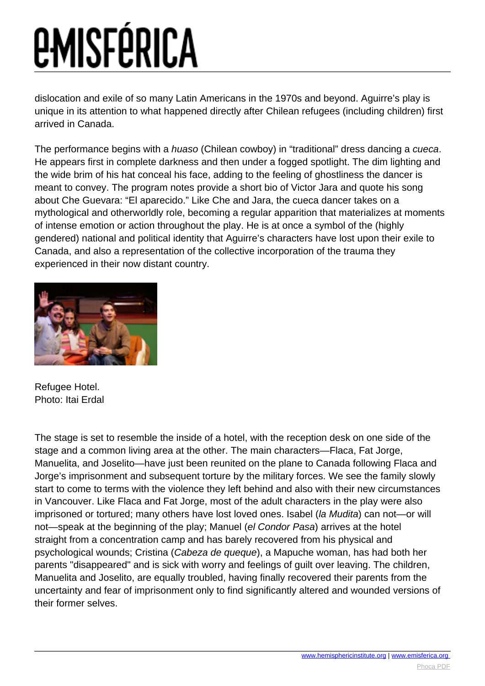dislocation and exile of so many Latin Americans in the 1970s and beyond. Aguirre's play is unique in its attention to what happened directly after Chilean refugees (including children) first arrived in Canada.

The performance begins with a *huaso* (Chilean cowboy) in "traditional" dress dancing a cueca. He appears first in complete darkness and then under a fogged spotlight. The dim lighting and the wide brim of his hat conceal his face, adding to the feeling of ghostliness the dancer is meant to convey. The program notes provide a short bio of Victor Jara and quote his song about Che Guevara: "El aparecido." Like Che and Jara, the cueca dancer takes on a mythological and otherworldly role, becoming a regular apparition that materializes at moments of intense emotion or action throughout the play. He is at once a symbol of the (highly gendered) national and political identity that Aguirre's characters have lost upon their exile to Canada, and also a representation of the collective incorporation of the trauma they experienced in their now distant country.



Refugee Hotel. Photo: Itai Erdal

The stage is set to resemble the inside of a hotel, with the reception desk on one side of the stage and a common living area at the other. The main characters—Flaca, Fat Jorge, Manuelita, and Joselito—have just been reunited on the plane to Canada following Flaca and Jorge's imprisonment and subsequent torture by the military forces. We see the family slowly start to come to terms with the violence they left behind and also with their new circumstances in Vancouver. Like Flaca and Fat Jorge, most of the adult characters in the play were also imprisoned or tortured; many others have lost loved ones. Isabel (la Mudita) can not—or will not—speak at the beginning of the play; Manuel (el Condor Pasa) arrives at the hotel straight from a concentration camp and has barely recovered from his physical and psychological wounds; Cristina (Cabeza de queque), a Mapuche woman, has had both her parents "disappeared" and is sick with worry and feelings of guilt over leaving. The children, Manuelita and Joselito, are equally troubled, having finally recovered their parents from the uncertainty and fear of imprisonment only to find significantly altered and wounded versions of their former selves.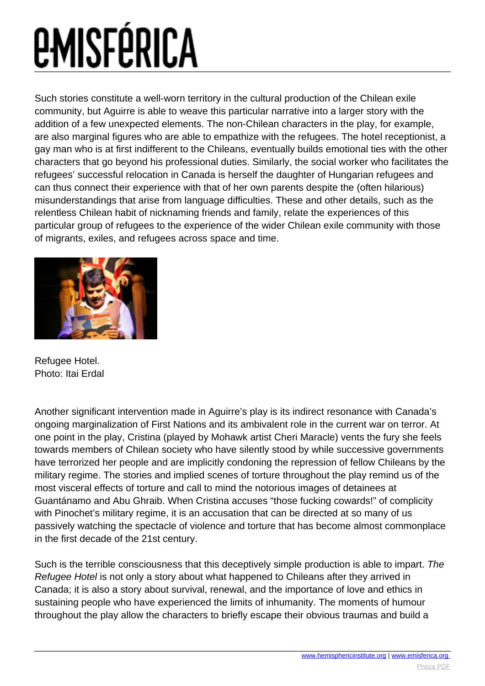Such stories constitute a well-worn territory in the cultural production of the Chilean exile community, but Aguirre is able to weave this particular narrative into a larger story with the addition of a few unexpected elements. The non-Chilean characters in the play, for example, are also marginal figures who are able to empathize with the refugees. The hotel receptionist, a gay man who is at first indifferent to the Chileans, eventually builds emotional ties with the other characters that go beyond his professional duties. Similarly, the social worker who facilitates the refugees' successful relocation in Canada is herself the daughter of Hungarian refugees and can thus connect their experience with that of her own parents despite the (often hilarious) misunderstandings that arise from language difficulties. These and other details, such as the relentless Chilean habit of nicknaming friends and family, relate the experiences of this particular group of refugees to the experience of the wider Chilean exile community with those of migrants, exiles, and refugees across space and time.



Refugee Hotel. Photo: Itai Erdal

Another significant intervention made in Aguirre's play is its indirect resonance with Canada's ongoing marginalization of First Nations and its ambivalent role in the current war on terror. At one point in the play, Cristina (played by Mohawk artist Cheri Maracle) vents the fury she feels towards members of Chilean society who have silently stood by while successive governments have terrorized her people and are implicitly condoning the repression of fellow Chileans by the military regime. The stories and implied scenes of torture throughout the play remind us of the most visceral effects of torture and call to mind the notorious images of detainees at Guantánamo and Abu Ghraib. When Cristina accuses "those fucking cowards!" of complicity with Pinochet's military regime, it is an accusation that can be directed at so many of us passively watching the spectacle of violence and torture that has become almost commonplace in the first decade of the 21st century.

Such is the terrible consciousness that this deceptively simple production is able to impart. The Refugee Hotel is not only a story about what happened to Chileans after they arrived in Canada; it is also a story about survival, renewal, and the importance of love and ethics in sustaining people who have experienced the limits of inhumanity. The moments of humour throughout the play allow the characters to briefly escape their obvious traumas and build a